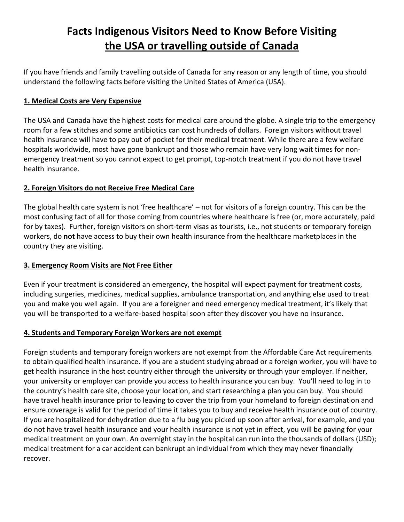# **Facts Indigenous Visitors Need to Know Before Visiting the USA or travelling outside of Canada**

If you have friends and family travelling outside of Canada for any reason or any length of time, you should understand the following facts before visiting the United States of America (USA).

## **1. Medical Costs are Very Expensive**

The USA and Canada have the highest costs for medical care around the globe. A single trip to the emergency room for a few stitches and some antibiotics can cost hundreds of dollars. Foreign visitors without travel health insurance will have to pay out of pocket for their medical treatment. While there are a few welfare hospitals worldwide, most have gone bankrupt and those who remain have very long wait times for nonemergency treatment so you cannot expect to get prompt, top-notch treatment if you do not have travel health insurance.

# **2. Foreign Visitors do not Receive Free Medical Care**

The global health care system is not 'free healthcare' – not for visitors of a foreign country. This can be the most confusing fact of all for those coming from countries where healthcare is free (or, more accurately, paid for by taxes). Further, foreign visitors on short-term visas as tourists, i.e., not students or temporary foreign workers, do **not** have access to buy their own health insurance from the healthcare marketplaces in the country they are visiting.

#### **3. Emergency Room Visits are Not Free Either**

Even if your treatment is considered an emergency, the hospital will expect payment for treatment costs, including surgeries, medicines, medical supplies, ambulance transportation, and anything else used to treat you and make you well again. If you are a foreigner and need emergency medical treatment, it's likely that you will be transported to a welfare-based hospital soon after they discover you have no insurance.

#### **4. Students and Temporary Foreign Workers are not exempt**

Foreign students and temporary foreign workers are not exempt from the Affordable Care Act requirements to obtain qualified health insurance. If you are a student studying abroad or a foreign worker, you will have to get health insurance in the host country either through the university or through your employer. If neither, your university or employer can provide you access to health insurance you can buy. You'll need to log in to the country's health care site, choose your location, and start researching a plan you can buy. You should have travel health insurance prior to leaving to cover the trip from your homeland to foreign destination and ensure coverage is valid for the period of time it takes you to buy and receive health insurance out of country. If you are hospitalized for dehydration due to a flu bug you picked up soon after arrival, for example, and you do not have travel health insurance and your health insurance is not yet in effect, you will be paying for your medical treatment on your own. An overnight stay in the hospital can run into the thousands of dollars (USD); medical treatment for a car accident can bankrupt an individual from which they may never financially recover.